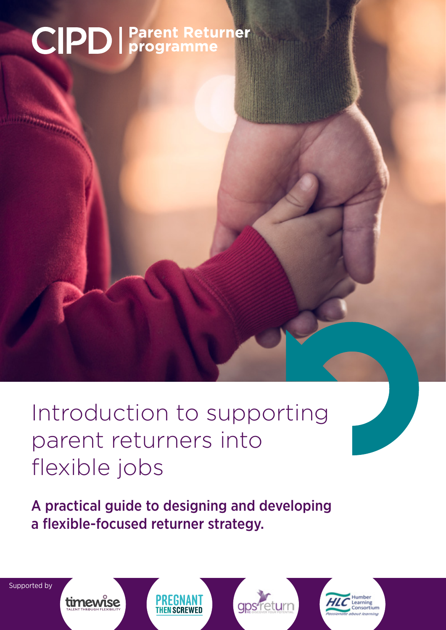# **CIPD** | Parent Returner

# Introduction to supporting parent returners into flexible jobs

A practical guide to designing and developing a flexible-focused returner strategy.

Supported by

PREGNANT lumhar gps return timewise arning Consortium **THEN SCREWED**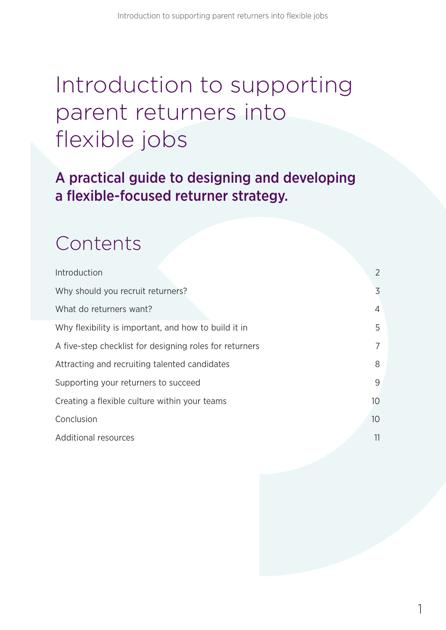# Introduction to supporting parent returners into flexible jobs

A practical guide to designing and developing a flexible-focused returner strategy.

### Contents

| Introduction                                            | 2               |  |
|---------------------------------------------------------|-----------------|--|
| Why should you recruit returners?                       | 3               |  |
| What do returners want?                                 | 4               |  |
| Why flexibility is important, and how to build it in    | 5               |  |
| A five-step checklist for designing roles for returners | 7               |  |
| Attracting and recruiting talented candidates           | 8               |  |
| Supporting your returners to succeed                    | 9               |  |
| Creating a flexible culture within your teams           | 10              |  |
| Conclusion                                              | 10 <sup>°</sup> |  |
| <b>Additional resources</b>                             | 11              |  |
|                                                         |                 |  |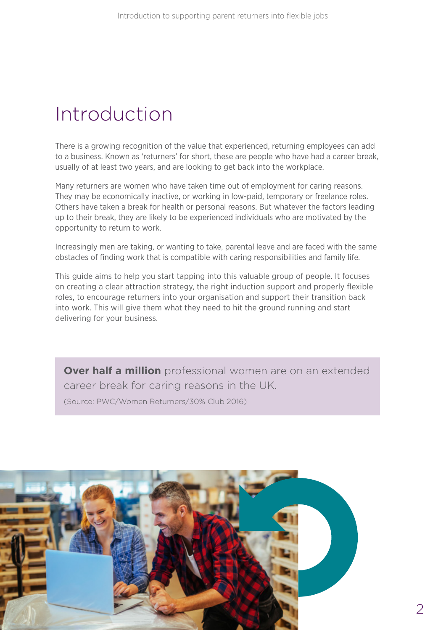### Introduction

There is a growing recognition of the value that experienced, returning employees can add to a business. Known as 'returners' for short, these are people who have had a career break, usually of at least two years, and are looking to get back into the workplace.

Many returners are women who have taken time out of employment for caring reasons. They may be economically inactive, or working in low-paid, temporary or freelance roles. Others have taken a break for health or personal reasons. But whatever the factors leading up to their break, they are likely to be experienced individuals who are motivated by the opportunity to return to work.

Increasingly men are taking, or wanting to take, parental leave and are faced with the same obstacles of finding work that is compatible with caring responsibilities and family life.

This guide aims to help you start tapping into this valuable group of people. It focuses on creating a clear attraction strategy, the right induction support and properly flexible roles, to encourage returners into your organisation and support their transition back into work. This will give them what they need to hit the ground running and start delivering for your business.

**Over half a million** professional women are on an extended career break for caring reasons in the UK.

(Source: PWC/Women Returners/30% Club 2016)

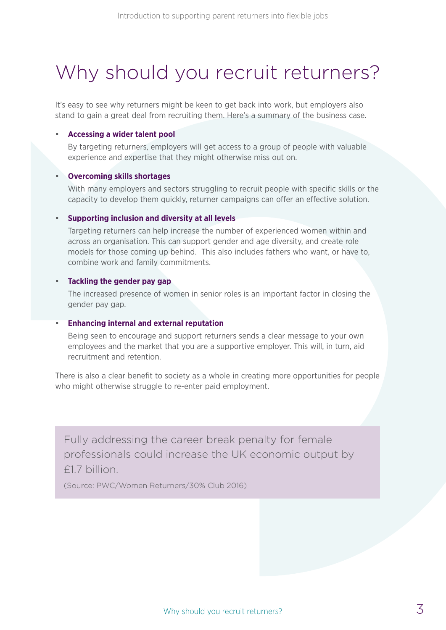### Why should you recruit returners?

It's easy to see why returners might be keen to get back into work, but employers also stand to gain a great deal from recruiting them. Here's a summary of the business case.

#### **• Accessing a wider talent pool**

By targeting returners, employers will get access to a group of people with valuable experience and expertise that they might otherwise miss out on.

#### **• Overcoming skills shortages**

With many employers and sectors struggling to recruit people with specific skills or the capacity to develop them quickly, returner campaigns can offer an effective solution.

#### **• Supporting inclusion and diversity at all levels**

Targeting returners can help increase the number of experienced women within and across an organisation. This can support gender and age diversity, and create role models for those coming up behind. This also includes fathers who want, or have to, combine work and family commitments.

#### **• Tackling the gender pay gap**

The increased presence of women in senior roles is an important factor in closing the gender pay gap.

#### **• Enhancing internal and external reputation**

Being seen to encourage and support returners sends a clear message to your own employees and the market that you are a supportive employer. This will, in turn, aid recruitment and retention.

There is also a clear benefit to society as a whole in creating more opportunities for people who might otherwise struggle to re-enter paid employment.

Fully addressing the career break penalty for female professionals could increase the UK economic output by £1.7 billion.

(Source: PWC/Women Returners/30% Club 2016)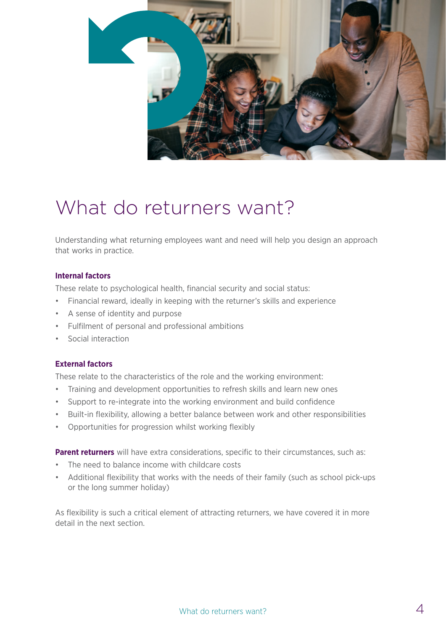

### What do returners want?

Understanding what returning employees want and need will help you design an approach that works in practice.

#### **Internal factors**

These relate to psychological health, financial security and social status:

- Financial reward, ideally in keeping with the returner's skills and experience
- A sense of identity and purpose
- Fulfilment of personal and professional ambitions
- Social interaction

#### **External factors**

These relate to the characteristics of the role and the working environment:

- Training and development opportunities to refresh skills and learn new ones
- Support to re-integrate into the working environment and build confidence
- Built-in flexibility, allowing a better balance between work and other responsibilities
- Opportunities for progression whilst working flexibly

**Parent returners** will have extra considerations, specific to their circumstances, such as:

- The need to balance income with childcare costs
- Additional flexibility that works with the needs of their family (such as school pick-ups or the long summer holiday)

As flexibility is such a critical element of attracting returners, we have covered it in more detail in the next section.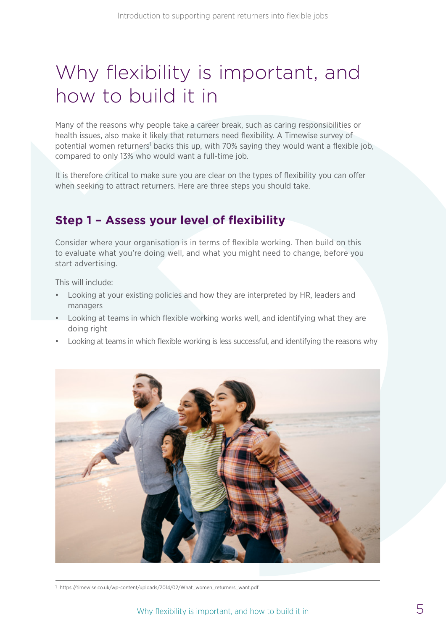### Why flexibility is important, and how to build it in

Many of the reasons why people take a career break, such as caring responsibilities or health issues, also make it likely that returners need flexibility. A Timewise survey of potential women returners<sup>1</sup> backs this up, with 70% saying they would want a flexible job, compared to only 13% who would want a full-time job.

It is therefore critical to make sure you are clear on the types of flexibility you can offer when seeking to attract returners. Here are three steps you should take.

### **Step 1 – Assess your level of flexibility**

Consider where your organisation is in terms of flexible working. Then build on this to evaluate what you're doing well, and what you might need to change, before you start advertising.

This will include:

- Looking at your existing policies and how they are interpreted by HR, leaders and managers
- Looking at teams in which flexible working works well, and identifying what they are doing right
- Looking at teams in which flexible working is less successful, and identifying the reasons why



1 https://timewise.co.uk/wp-content/uploads/2014/02/What\_women\_returners\_want.pdf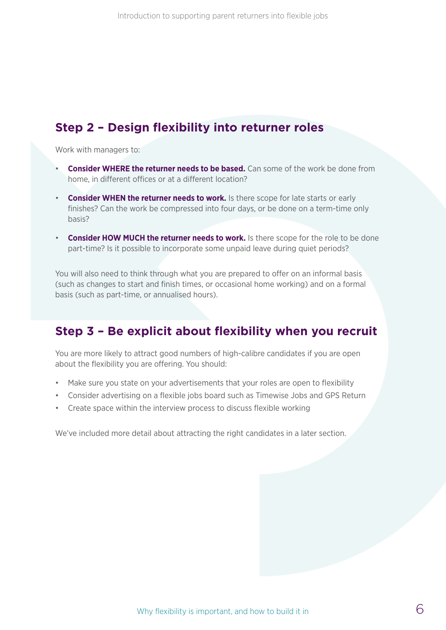### **Step 2 – Design flexibility into returner roles**

Work with managers to:

- **Consider WHERE the returner needs to be based.** Can some of the work be done from home, in different offices or at a different location?
- **Consider WHEN the returner needs to work.** Is there scope for late starts or early finishes? Can the work be compressed into four days, or be done on a term-time only basis?
- **Consider HOW MUCH the returner needs to work.** Is there scope for the role to be done part-time? Is it possible to incorporate some unpaid leave during quiet periods?

You will also need to think through what you are prepared to offer on an informal basis (such as changes to start and finish times, or occasional home working) and on a formal basis (such as part-time, or annualised hours).

### **Step 3 – Be explicit about flexibility when you recruit**

You are more likely to attract good numbers of high-calibre candidates if you are open about the flexibility you are offering. You should:

- Make sure you state on your advertisements that your roles are open to flexibility
- Consider advertising on a flexible jobs board such as Timewise Jobs and GPS Return
- Create space within the interview process to discuss flexible working

We've included more detail about attracting the right candidates in a later section.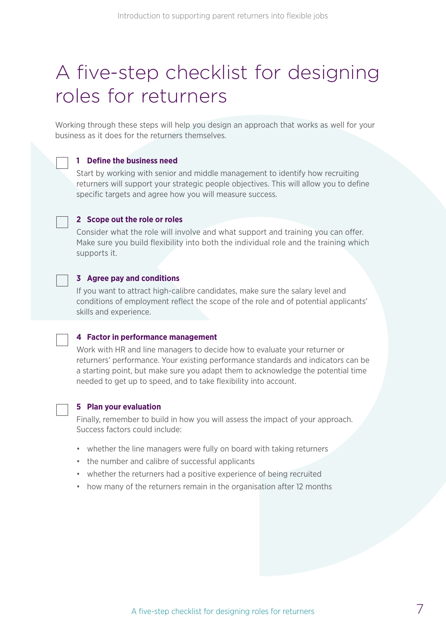### A five-step checklist for designing roles for returners

Working through these steps will help you design an approach that works as well for your business as it does for the returners themselves.

#### **1 Define the business need**

Start by working with senior and middle management to identify how recruiting returners will support your strategic people objectives. This will allow you to define specific targets and agree how you will measure success.

#### **2 Scope out the role or roles**

Consider what the role will involve and what support and training you can offer. Make sure you build flexibility into both the individual role and the training which supports it.

#### **3 Agree pay and conditions**

If you want to attract high-calibre candidates, make sure the salary level and conditions of employment reflect the scope of the role and of potential applicants' skills and experience.

#### **4 Factor in performance management**

Work with HR and line managers to decide how to evaluate your returner or returners' performance. Your existing performance standards and indicators can be a starting point, but make sure you adapt them to acknowledge the potential time needed to get up to speed, and to take flexibility into account.

#### **5 Plan your evaluation**

Finally, remember to build in how you will assess the impact of your approach. Success factors could include:

- whether the line managers were fully on board with taking returners
- the number and calibre of successful applicants
- whether the returners had a positive experience of being recruited
- how many of the returners remain in the organisation after 12 months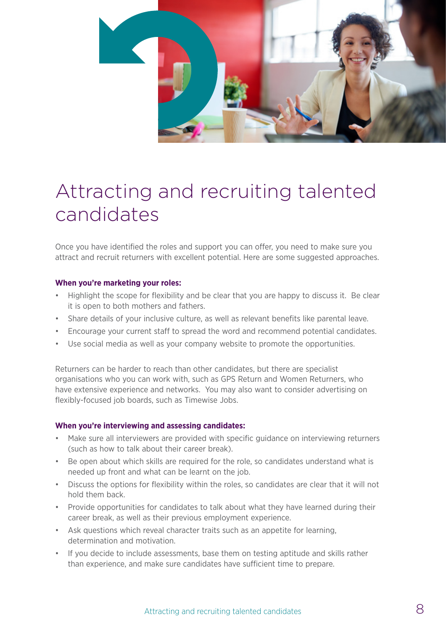

### Attracting and recruiting talented candidates

Once you have identified the roles and support you can offer, you need to make sure you attract and recruit returners with excellent potential. Here are some suggested approaches.

#### **When you're marketing your roles:**

- Highlight the scope for flexibility and be clear that you are happy to discuss it. Be clear it is open to both mothers and fathers.
- Share details of your inclusive culture, as well as relevant benefits like parental leave.
- Encourage your current staff to spread the word and recommend potential candidates.
- Use social media as well as your company website to promote the opportunities.

Returners can be harder to reach than other candidates, but there are specialist organisations who you can work with, such as GPS Return and Women Returners, who have extensive experience and networks. You may also want to consider advertising on flexibly-focused job boards, such as Timewise Jobs.

#### **When you're interviewing and assessing candidates:**

- Make sure all interviewers are provided with specific guidance on interviewing returners (such as how to talk about their career break).
- Be open about which skills are required for the role, so candidates understand what is needed up front and what can be learnt on the job.
- Discuss the options for flexibility within the roles, so candidates are clear that it will not hold them back.
- Provide opportunities for candidates to talk about what they have learned during their career break, as well as their previous employment experience.
- Ask questions which reveal character traits such as an appetite for learning, determination and motivation.
- If you decide to include assessments, base them on testing aptitude and skills rather than experience, and make sure candidates have sufficient time to prepare.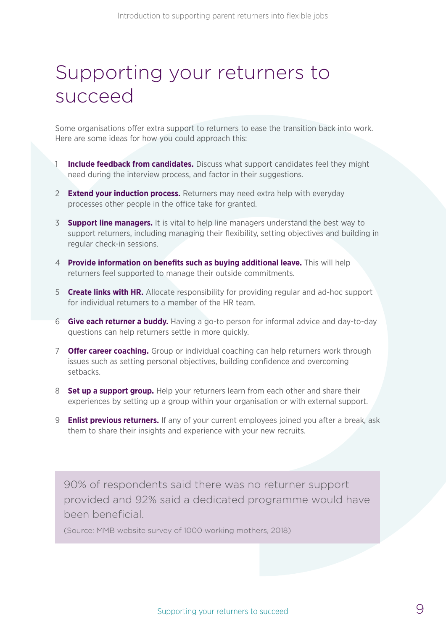### Supporting your returners to succeed

Some organisations offer extra support to returners to ease the transition back into work. Here are some ideas for how you could approach this:

- **Include feedback from candidates.** Discuss what support candidates feel they might need during the interview process, and factor in their suggestions.
- 2 **Extend your induction process.** Returners may need extra help with everyday processes other people in the office take for granted.
- 3 **Support line managers.** It is vital to help line managers understand the best way to support returners, including managing their flexibility, setting objectives and building in regular check-in sessions.
- 4 **Provide information on benefits such as buying additional leave.** This will help returners feel supported to manage their outside commitments.
- 5 **Create links with HR.** Allocate responsibility for providing regular and ad-hoc support for individual returners to a member of the HR team.
- 6 **Give each returner a buddy.** Having a go-to person for informal advice and day-to-day questions can help returners settle in more quickly.
- 7 **Offer career coaching.** Group or individual coaching can help returners work through issues such as setting personal objectives, building confidence and overcoming setbacks.
- 8 **Set up a support group.** Help your returners learn from each other and share their experiences by setting up a group within your organisation or with external support.
- 9 **Enlist previous returners.** If any of your current employees joined you after a break, ask them to share their insights and experience with your new recruits.

90% of respondents said there was no returner support provided and 92% said a dedicated programme would have been beneficial.

(Source: MMB website survey of 1000 working mothers, 2018)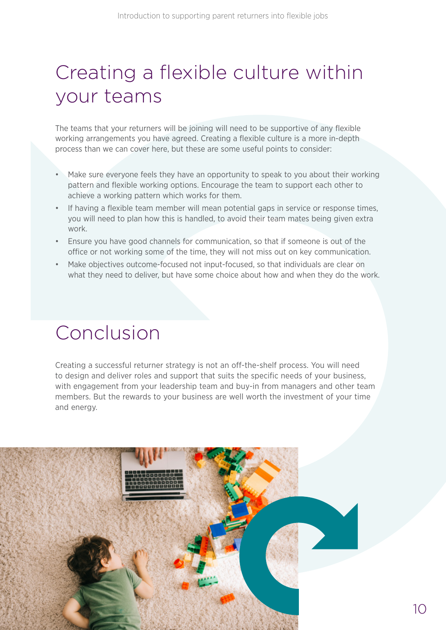## Creating a flexible culture within your teams

The teams that your returners will be joining will need to be supportive of any flexible working arrangements you have agreed. Creating a flexible culture is a more in-depth process than we can cover here, but these are some useful points to consider:

- Make sure everyone feels they have an opportunity to speak to you about their working pattern and flexible working options. Encourage the team to support each other to achieve a working pattern which works for them.
- If having a flexible team member will mean potential gaps in service or response times, you will need to plan how this is handled, to avoid their team mates being given extra work.
- Ensure you have good channels for communication, so that if someone is out of the office or not working some of the time, they will not miss out on key communication.
- Make objectives outcome-focused not input-focused, so that individuals are clear on what they need to deliver, but have some choice about how and when they do the work.

### Conclusion

Creating a successful returner strategy is not an off-the-shelf process. You will need to design and deliver roles and support that suits the specific needs of your business, with engagement from your leadership team and buy-in from managers and other team members. But the rewards to your business are well worth the investment of your time and energy.

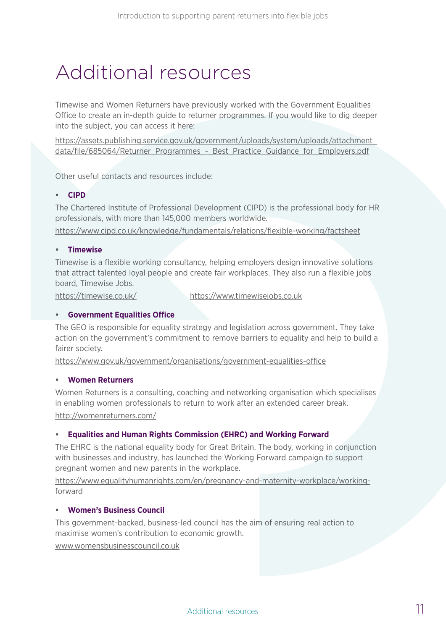### Additional resources

Timewise and Women Returners have previously worked with the Government Equalities Office to create an in-depth guide to returner programmes. If you would like to dig deeper into the subject, you can access it here:

[https://assets.publishing.service.gov.uk/government/uploads/system/uploads/attachment\\_](https://assets.publishing.service.gov.uk/government/uploads/system/uploads/attachment_data/file/685064/Returner_Programmes_-_Best_Practice_Guidance_for_Employers.pdf) data/file/685064/Returner\_Programmes - Best\_Practice\_Guidance\_for\_Employers.pdf

Other useful contacts and resources include:

#### **• CIPD**

The Chartered Institute of Professional Development (CIPD) is the professional body for HR professionals, with more than 145,000 members worldwide.

<https://www.cipd.co.uk/knowledge/fundamentals/relations/flexible-working/factsheet>

#### **• Timewise**

Timewise is a flexible working consultancy, helping employers design innovative solutions that attract talented loyal people and create fair workplaces. They also run a flexible jobs board, Timewise Jobs.

<https://timewise.co.uk/> [https://www.timewisejobs.co.uk](https://www.timewisejobs.co.uk/)

#### **• Government Equalities Office**

The GEO is responsible for equality strategy and legislation across government. They take action on the government's commitment to remove barriers to equality and help to build a fairer society.

<https://www.gov.uk/government/organisations/government-equalities-office>

#### **• Women Returners**

Women Returners is a consulting, coaching and networking organisation which specialises in enabling women professionals to return to work after an extended career break. <http://womenreturners.com/>

#### **• Equalities and Human Rights Commission (EHRC) and Working Forward**

The EHRC is the national equality body for Great Britain. The body, working in conjunction with businesses and industry, has launched the Working Forward campaign to support pregnant women and new parents in the workplace.

[https://www.equalityhumanrights.com/en/pregnancy-and-maternity-workplace/working](https://www.equalityhumanrights.com/en/pregnancy-and-maternity-workplace/working-forward)[forward](https://www.equalityhumanrights.com/en/pregnancy-and-maternity-workplace/working-forward)

#### **• Women's Business Council**

This government-backed, business-led council has the aim of ensuring real action to maximise women's contribution to economic growth.

[www.womensbusinesscouncil.co.uk](http://www.womensbusinesscouncil.co.uk/)